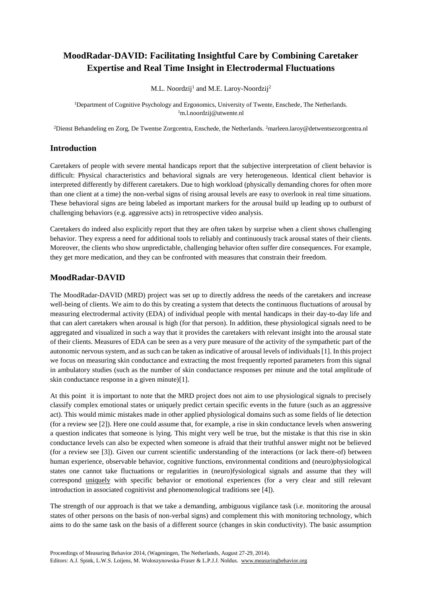# **MoodRadar-DAVID: Facilitating Insightful Care by Combining Caretaker Expertise and Real Time Insight in Electrodermal Fluctuations**

M.L. Noordzij<sup>1</sup> and M.E. Laroy-Noordzij<sup>2</sup>

<sup>1</sup>Department of Cognitive Psychology and Ergonomics, University of Twente, Enschede, The Netherlands. <sup>1</sup>m.l.noordzij@utwente.nl

<sup>2</sup>Dienst Behandeling en Zorg, De Twentse Zorgcentra, Enschede, the Netherlands. <sup>2</sup>marleen.laroy@detwentsezorgcentra.nl

### **Introduction**

Caretakers of people with severe mental handicaps report that the subjective interpretation of client behavior is difficult: Physical characteristics and behavioral signals are very heterogeneous. Identical client behavior is interpreted differently by different caretakers. Due to high workload (physically demanding chores for often more than one client at a time) the non-verbal signs of rising arousal levels are easy to overlook in real time situations. These behavioral signs are being labeled as important markers for the arousal build up leading up to outburst of challenging behaviors (e.g. aggressive acts) in retrospective video analysis.

Caretakers do indeed also explicitly report that they are often taken by surprise when a client shows challenging behavior. They express a need for additional tools to reliably and continuously track arousal states of their clients. Moreover, the clients who show unpredictable, challenging behavior often suffer dire consequences. For example, they get more medication, and they can be confronted with measures that constrain their freedom.

### **MoodRadar-DAVID**

The MoodRadar-DAVID (MRD) project was set up to directly address the needs of the caretakers and increase well-being of clients. We aim to do this by creating a system that detects the continuous fluctuations of arousal by measuring electrodermal activity (EDA) of individual people with mental handicaps in their day-to-day life and that can alert caretakers when arousal is high (for that person). In addition, these physiological signals need to be aggregated and visualized in such a way that it provides the caretakers with relevant insight into the arousal state of their clients. Measures of EDA can be seen as a very pure measure of the activity of the sympathetic part of the autonomic nervous system, and as such can be taken as indicative of arousal levels of individuals [1]. In this project we focus on measuring skin conductance and extracting the most frequently reported parameters from this signal in ambulatory studies (such as the number of skin conductance responses per minute and the total amplitude of skin conductance response in a given minute)[1].

At this point it is important to note that the MRD project does not aim to use physiological signals to precisely classify complex emotional states or uniquely predict certain specific events in the future (such as an aggressive act). This would mimic mistakes made in other applied physiological domains such as some fields of lie detection (for a review see [2]). Here one could assume that, for example, a rise in skin conductance levels when answering a question indicates that someone is lying. This might very well be true, but the mistake is that this rise in skin conductance levels can also be expected when someone is afraid that their truthful answer might not be believed (for a review see [3]). Given our current scientific understanding of the interactions (or lack there-of) between human experience, observable behavior, cognitive functions, environmental conditions and (neuro)physiological states one cannot take fluctuations or regularities in (neuro)fysiological signals and assume that they will correspond uniquely with specific behavior or emotional experiences (for a very clear and still relevant introduction in associated cognitivist and phenomenological traditions see [4]).

The strength of our approach is that we take a demanding, ambiguous vigilance task (i.e. monitoring the arousal states of other persons on the basis of non-verbal signs) and complement this with monitoring technology, which aims to do the same task on the basis of a different source (changes in skin conductivity). The basic assumption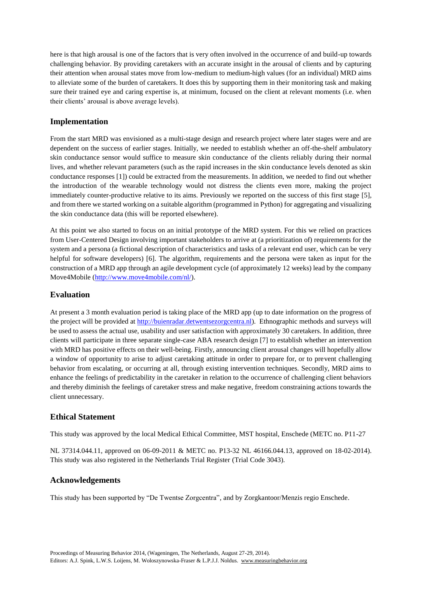here is that high arousal is one of the factors that is very often involved in the occurrence of and build-up towards challenging behavior. By providing caretakers with an accurate insight in the arousal of clients and by capturing their attention when arousal states move from low-medium to medium-high values (for an individual) MRD aims to alleviate some of the burden of caretakers. It does this by supporting them in their monitoring task and making sure their trained eye and caring expertise is, at minimum, focused on the client at relevant moments (i.e. when their clients' arousal is above average levels).

# **Implementation**

From the start MRD was envisioned as a multi-stage design and research project where later stages were and are dependent on the success of earlier stages. Initially, we needed to establish whether an off-the-shelf ambulatory skin conductance sensor would suffice to measure skin conductance of the clients reliably during their normal lives, and whether relevant parameters (such as the rapid increases in the skin conductance levels denoted as skin conductance responses [1]) could be extracted from the measurements. In addition, we needed to find out whether the introduction of the wearable technology would not distress the clients even more, making the project immediately counter-productive relative to its aims. Previously we reported on the success of this first stage [5], and from there we started working on a suitable algorithm (programmed in Python) for aggregating and visualizing the skin conductance data (this will be reported elsewhere).

At this point we also started to focus on an initial prototype of the MRD system. For this we relied on practices from User-Centered Design involving important stakeholders to arrive at (a prioritization of) requirements for the system and a persona (a fictional description of characteristics and tasks of a relevant end user, which can be very helpful for software developers) [6]. The algorithm, requirements and the persona were taken as input for the construction of a MRD app through an agile development cycle (of approximately 12 weeks) lead by the company Move4Mobile [\(http://www.move4mobile.com/nl/\)](http://www.move4mobile.com/nl/).

# **Evaluation**

At present a 3 month evaluation period is taking place of the MRD app (up to date information on the progress of the project will be provided a[t http://buienradar.detwentsezorgcentra.nl\)](http://buienradar.detwentsezorgcentra.nl/). Ethnographic methods and surveys will be used to assess the actual use, usability and user satisfaction with approximately 30 caretakers. In addition, three clients will participate in three separate single-case ABA research design [7] to establish whether an intervention with MRD has positive effects on their well-being. Firstly, announcing client arousal changes will hopefully allow a window of opportunity to arise to adjust caretaking attitude in order to prepare for, or to prevent challenging behavior from escalating, or occurring at all, through existing intervention techniques. Secondly, MRD aims to enhance the feelings of predictability in the caretaker in relation to the occurrence of challenging client behaviors and thereby diminish the feelings of caretaker stress and make negative, freedom constraining actions towards the client unnecessary.

# **Ethical Statement**

This study was approved by the local Medical Ethical Committee, MST hospital, Enschede (METC no. P11-27

NL 37314.044.11, approved on 06-09-2011 & METC no. P13-32 NL 46166.044.13, approved on 18-02-2014). This study was also registered in the Netherlands Trial Register (Trial Code 3043).

# **Acknowledgements**

This study has been supported by "De Twentse Zorgcentra", and by Zorgkantoor/Menzis regio Enschede.